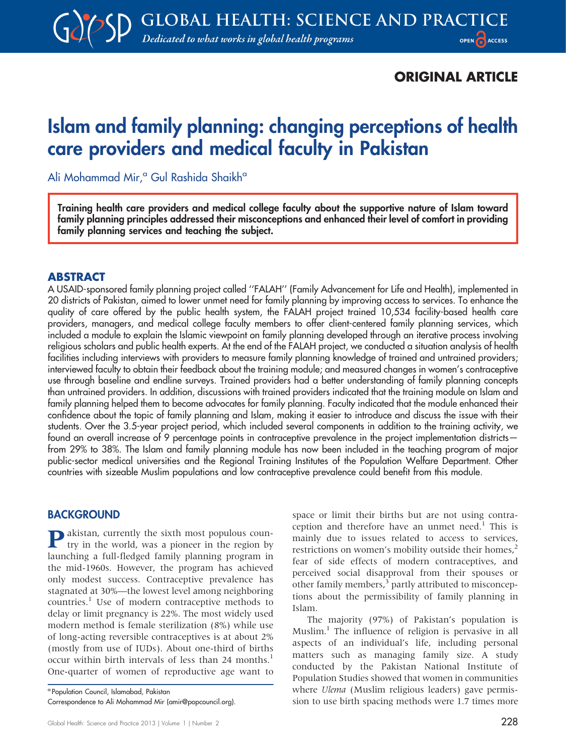# ORIGINAL ARTICLE

# Islam and family planning: changing perceptions of health care providers and medical faculty in Pakistan

Ali Mohammad Mir,<sup>a</sup> Gul Rashida Shaikh<sup>a</sup>

Training health care providers and medical college faculty about the supportive nature of Islam toward family planning principles addressed their misconceptions and enhanced their level of comfort in providing family planning services and teaching the subject.

# ABSTRACT

A USAID-sponsored family planning project called ''FALAH'' (Family Advancement for Life and Health), implemented in 20 districts of Pakistan, aimed to lower unmet need for family planning by improving access to services. To enhance the quality of care offered by the public health system, the FALAH project trained 10,534 facility-based health care providers, managers, and medical college faculty members to offer client-centered family planning services, which included a module to explain the Islamic viewpoint on family planning developed through an iterative process involving religious scholars and public health experts. At the end of the FALAH project, we conducted a situation analysis of health facilities including interviews with providers to measure family planning knowledge of trained and untrained providers; interviewed faculty to obtain their feedback about the training module; and measured changes in women's contraceptive use through baseline and endline surveys. Trained providers had a better understanding of family planning concepts than untrained providers. In addition, discussions with trained providers indicated that the training module on Islam and family planning helped them to become advocates for family planning. Faculty indicated that the module enhanced their confidence about the topic of family planning and Islam, making it easier to introduce and discuss the issue with their students. Over the 3.5-year project period, which included several components in addition to the training activity, we found an overall increase of 9 percentage points in contraceptive prevalence in the project implementation districts from 29% to 38%. The Islam and family planning module has now been included in the teaching program of major public-sector medical universities and the Regional Training Institutes of the Population Welfare Department. Other countries with sizeable Muslim populations and low contraceptive prevalence could benefit from this module.

# **BACKGROUND**

**P** akistan, currently the sixth most populous country in the world, was a pioneer in the region by launching a full-fledged family planning program in the mid-1960s. However, the program has achieved only modest success. Contraceptive prevalence has stagnated at 30%—the lowest level among neighboring countries.<sup>1</sup> Use of modern contraceptive methods to delay or limit pregnancy is 22%. The most widely used modern method is female sterilization (8%) while use of long-acting reversible contraceptives is at about 2% (mostly from use of IUDs). About one-third of births occur within birth intervals of less than 24 months.<sup>1</sup> One-quarter of women of reproductive age want to

<sup>a</sup> Population Council, Islamabad, Pakistan Correspondence to Ali Mohammad Mir (amir@popcouncil.org). space or limit their births but are not using contraception and therefore have an unmet need.<sup>1</sup> This is mainly due to issues related to access to services, restrictions on women's mobility outside their homes,<sup>2</sup> fear of side effects of modern contraceptives, and perceived social disapproval from their spouses or other family members,<sup>3</sup> partly attributed to misconceptions about the permissibility of family planning in Islam.

The majority (97%) of Pakistan's population is Muslim. $<sup>1</sup>$  The influence of religion is pervasive in all</sup> aspects of an individual's life, including personal matters such as managing family size. A study conducted by the Pakistan National Institute of Population Studies showed that women in communities where *Ulema* (Muslim religious leaders) gave permission to use birth spacing methods were 1.7 times more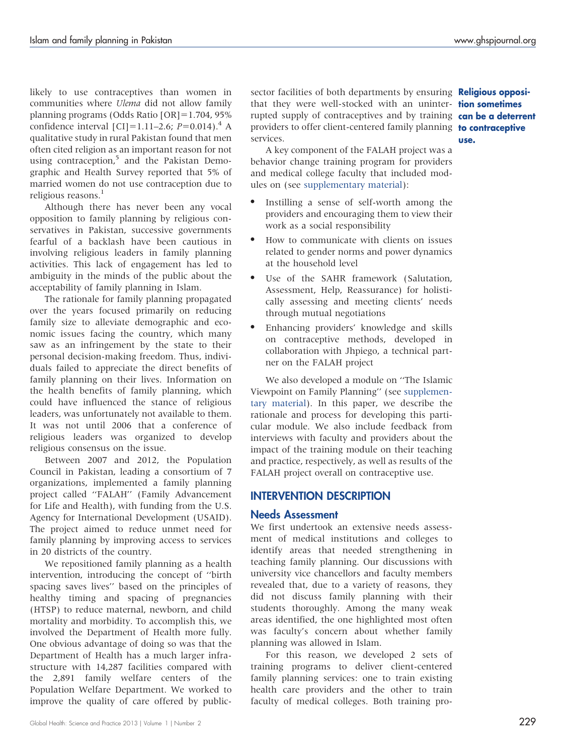likely to use contraceptives than women in communities where Ulema did not allow family planning programs (Odds Ratio  $[OR]=1.704$ , 95% confidence interval  $\text{[CI]}=1.11-2.6$ ;  $P=0.014$ ).<sup>4</sup> A qualitative study in rural Pakistan found that men often cited religion as an important reason for not using contraception,<sup>5</sup> and the Pakistan Demographic and Health Survey reported that 5% of married women do not use contraception due to religious reasons.<sup>1</sup>

Although there has never been any vocal opposition to family planning by religious conservatives in Pakistan, successive governments fearful of a backlash have been cautious in involving religious leaders in family planning activities. This lack of engagement has led to ambiguity in the minds of the public about the acceptability of family planning in Islam.

The rationale for family planning propagated over the years focused primarily on reducing family size to alleviate demographic and economic issues facing the country, which many saw as an infringement by the state to their personal decision-making freedom. Thus, individuals failed to appreciate the direct benefits of family planning on their lives. Information on the health benefits of family planning, which could have influenced the stance of religious leaders, was unfortunately not available to them. It was not until 2006 that a conference of religious leaders was organized to develop religious consensus on the issue.

Between 2007 and 2012, the Population Council in Pakistan, leading a consortium of 7 organizations, implemented a family planning project called ''FALAH'' (Family Advancement for Life and Health), with funding from the U.S. Agency for International Development (USAID). The project aimed to reduce unmet need for family planning by improving access to services in 20 districts of the country.

We repositioned family planning as a health intervention, introducing the concept of ''birth spacing saves lives'' based on the principles of healthy timing and spacing of pregnancies (HTSP) to reduce maternal, newborn, and child mortality and morbidity. To accomplish this, we involved the Department of Health more fully. One obvious advantage of doing so was that the Department of Health has a much larger infrastructure with 14,287 facilities compared with the 2,891 family welfare centers of the Population Welfare Department. We worked to improve the quality of care offered by public-

sector facilities of both departments by ensuring **Religious opposi**that they were well-stocked with an uninter- **tion sometimes** rupted supply of contraceptives and by training can be a deterrent providers to offer client-centered family planning **to contraceptive** services.

A key component of the FALAH project was a behavior change training program for providers and medical college faculty that included modules on (see [supplementary material](http://www.ghspjournal.org/lookup/suppl/doi:10.9745-D-13-00019/-/DCSupplemental)):

- N Instilling a sense of self-worth among the providers and encouraging them to view their work as a social responsibility
- How to communicate with clients on issues related to gender norms and power dynamics at the household level
- Use of the SAHR framework (Salutation, Assessment, Help, Reassurance) for holistically assessing and meeting clients' needs through mutual negotiations
- Enhancing providers' knowledge and skills on contraceptive methods, developed in collaboration with Jhpiego, a technical partner on the FALAH project

We also developed a module on ''The Islamic Viewpoint on Family Planning'' (see [supplemen](http://www.ghspjournal.org/lookup/suppl/doi:10.9745-D-13-00019/-/DCSupplemental)[tary material\)](http://www.ghspjournal.org/lookup/suppl/doi:10.9745-D-13-00019/-/DCSupplemental). In this paper, we describe the rationale and process for developing this particular module. We also include feedback from interviews with faculty and providers about the impact of the training module on their teaching and practice, respectively, as well as results of the FALAH project overall on contraceptive use.

# INTERVENTION DESCRIPTION

# Needs Assessment

We first undertook an extensive needs assessment of medical institutions and colleges to identify areas that needed strengthening in teaching family planning. Our discussions with university vice chancellors and faculty members revealed that, due to a variety of reasons, they did not discuss family planning with their students thoroughly. Among the many weak areas identified, the one highlighted most often was faculty's concern about whether family planning was allowed in Islam.

For this reason, we developed 2 sets of training programs to deliver client-centered family planning services: one to train existing health care providers and the other to train faculty of medical colleges. Both training pro-

# use.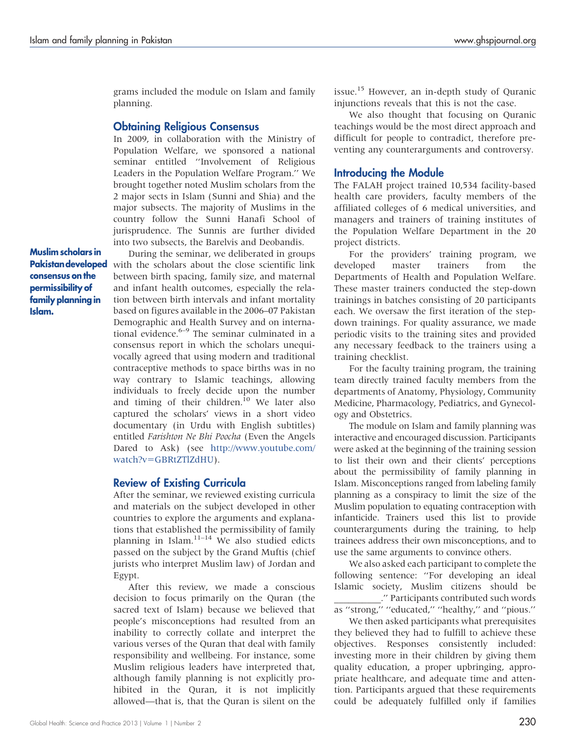grams included the module on Islam and family planning.

### Obtaining Religious Consensus

In 2009, in collaboration with the Ministry of Population Welfare, we sponsored a national seminar entitled ''Involvement of Religious Leaders in the Population Welfare Program.'' We brought together noted Muslim scholars from the 2 major sects in Islam (Sunni and Shia) and the major subsects. The majority of Muslims in the country follow the Sunni Hanafi School of jurisprudence. The Sunnis are further divided into two subsects, the Barelvis and Deobandis.

Muslim scholars in Pakistandeveloped consensus on the permissibility of family planning in Islam.

During the seminar, we deliberated in groups with the scholars about the close scientific link between birth spacing, family size, and maternal and infant health outcomes, especially the relation between birth intervals and infant mortality based on figures available in the 2006–07 Pakistan Demographic and Health Survey and on international evidence.<sup>6–9</sup> The seminar culminated in a consensus report in which the scholars unequivocally agreed that using modern and traditional contraceptive methods to space births was in no way contrary to Islamic teachings, allowing individuals to freely decide upon the number and timing of their children.<sup>10</sup> We later also captured the scholars' views in a short video documentary (in Urdu with English subtitles) entitled Farishton Ne Bhi Poocha (Even the Angels Dared to Ask) (see [http://www.youtube.com/](http://www.youtube.com/watch?v=GBRtZTlZdHU) watch?v=[GBRtZTlZdHU\)](http://www.youtube.com/watch?v=GBRtZTlZdHU).

# Review of Existing Curricula

After the seminar, we reviewed existing curricula and materials on the subject developed in other countries to explore the arguments and explanations that established the permissibility of family planning in Islam. $11-14$  We also studied edicts passed on the subject by the Grand Muftis (chief jurists who interpret Muslim law) of Jordan and Egypt.

After this review, we made a conscious decision to focus primarily on the Quran (the sacred text of Islam) because we believed that people's misconceptions had resulted from an inability to correctly collate and interpret the various verses of the Quran that deal with family responsibility and wellbeing. For instance, some Muslim religious leaders have interpreted that, although family planning is not explicitly prohibited in the Quran, it is not implicitly allowed—that is, that the Quran is silent on the issue.<sup>15</sup> However, an in-depth study of Quranic injunctions reveals that this is not the case.

We also thought that focusing on Quranic teachings would be the most direct approach and difficult for people to contradict, therefore preventing any counterarguments and controversy.

# Introducing the Module

The FALAH project trained 10,534 facility-based health care providers, faculty members of the affiliated colleges of 6 medical universities, and managers and trainers of training institutes of the Population Welfare Department in the 20 project districts.

For the providers' training program, we developed master trainers from the Departments of Health and Population Welfare. These master trainers conducted the step-down trainings in batches consisting of 20 participants each. We oversaw the first iteration of the stepdown trainings. For quality assurance, we made periodic visits to the training sites and provided any necessary feedback to the trainers using a training checklist.

For the faculty training program, the training team directly trained faculty members from the departments of Anatomy, Physiology, Community Medicine, Pharmacology, Pediatrics, and Gynecology and Obstetrics.

The module on Islam and family planning was interactive and encouraged discussion. Participants were asked at the beginning of the training session to list their own and their clients' perceptions about the permissibility of family planning in Islam. Misconceptions ranged from labeling family planning as a conspiracy to limit the size of the Muslim population to equating contraception with infanticide. Trainers used this list to provide counterarguments during the training, to help trainees address their own misconceptions, and to use the same arguments to convince others.

We also asked each participant to complete the following sentence: ''For developing an ideal Islamic society, Muslim citizens should be ." Participants contributed such words as ''strong,'' ''educated,'' ''healthy,'' and ''pious.''

We then asked participants what prerequisites they believed they had to fulfill to achieve these objectives. Responses consistently included: investing more in their children by giving them quality education, a proper upbringing, appropriate healthcare, and adequate time and attention. Participants argued that these requirements could be adequately fulfilled only if families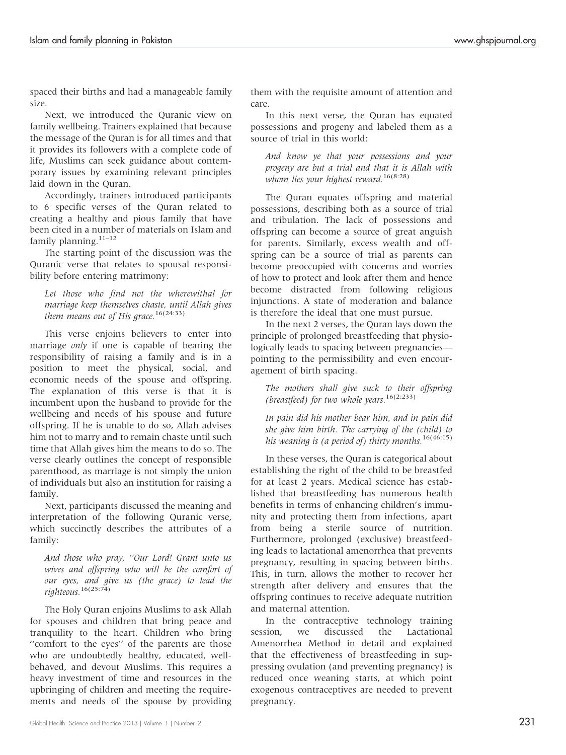spaced their births and had a manageable family size.

Next, we introduced the Quranic view on family wellbeing. Trainers explained that because the message of the Quran is for all times and that it provides its followers with a complete code of life, Muslims can seek guidance about contemporary issues by examining relevant principles laid down in the Quran.

Accordingly, trainers introduced participants to 6 specific verses of the Quran related to creating a healthy and pious family that have been cited in a number of materials on Islam and family planning.<sup>11-12</sup>

The starting point of the discussion was the Quranic verse that relates to spousal responsibility before entering matrimony:

#### Let those who find not the wherewithal for marriage keep themselves chaste, until Allah gives them means out of His grace.<sup>16(24:33)</sup>

This verse enjoins believers to enter into marriage *only* if one is capable of bearing the responsibility of raising a family and is in a position to meet the physical, social, and economic needs of the spouse and offspring. The explanation of this verse is that it is incumbent upon the husband to provide for the wellbeing and needs of his spouse and future offspring. If he is unable to do so, Allah advises him not to marry and to remain chaste until such time that Allah gives him the means to do so. The verse clearly outlines the concept of responsible parenthood, as marriage is not simply the union of individuals but also an institution for raising a family.

Next, participants discussed the meaning and interpretation of the following Quranic verse, which succinctly describes the attributes of a family:

And those who pray, ''Our Lord! Grant unto us wives and offspring who will be the comfort of our eyes, and give us (the grace) to lead the righteous.16(25:74)

The Holy Quran enjoins Muslims to ask Allah for spouses and children that bring peace and tranquility to the heart. Children who bring "comfort to the eyes" of the parents are those who are undoubtedly healthy, educated, wellbehaved, and devout Muslims. This requires a heavy investment of time and resources in the upbringing of children and meeting the requirements and needs of the spouse by providing

them with the requisite amount of attention and care.

In this next verse, the Quran has equated possessions and progeny and labeled them as a source of trial in this world:

And know ye that your possessions and your progeny are but a trial and that it is Allah with whom lies your highest reward.<sup>16(8:28)</sup>

The Quran equates offspring and material possessions, describing both as a source of trial and tribulation. The lack of possessions and offspring can become a source of great anguish for parents. Similarly, excess wealth and offspring can be a source of trial as parents can become preoccupied with concerns and worries of how to protect and look after them and hence become distracted from following religious injunctions. A state of moderation and balance is therefore the ideal that one must pursue.

In the next 2 verses, the Quran lays down the principle of prolonged breastfeeding that physiologically leads to spacing between pregnancies pointing to the permissibility and even encouragement of birth spacing.

The mothers shall give suck to their offspring (breastfeed) for two whole years.<sup>16(2:233)</sup>

In pain did his mother bear him, and in pain did she give him birth. The carrying of the (child) to his weaning is (a period of) thirty months.  $^{16(46:15)}$ 

In these verses, the Quran is categorical about establishing the right of the child to be breastfed for at least 2 years. Medical science has established that breastfeeding has numerous health benefits in terms of enhancing children's immunity and protecting them from infections, apart from being a sterile source of nutrition. Furthermore, prolonged (exclusive) breastfeeding leads to lactational amenorrhea that prevents pregnancy, resulting in spacing between births. This, in turn, allows the mother to recover her strength after delivery and ensures that the offspring continues to receive adequate nutrition and maternal attention.

In the contraceptive technology training session, we discussed the Lactational Amenorrhea Method in detail and explained that the effectiveness of breastfeeding in suppressing ovulation (and preventing pregnancy) is reduced once weaning starts, at which point exogenous contraceptives are needed to prevent pregnancy.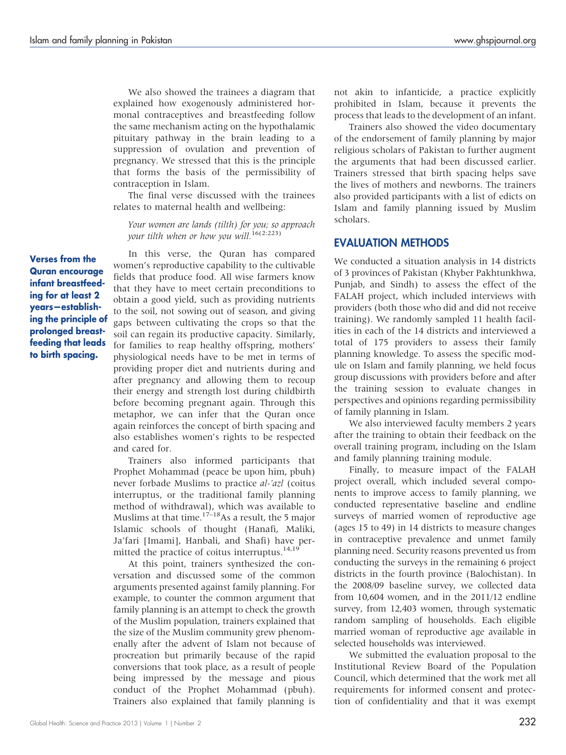We also showed the trainees a diagram that explained how exogenously administered hormonal contraceptives and breastfeeding follow the same mechanism acting on the hypothalamic pituitary pathway in the brain leading to a suppression of ovulation and prevention of pregnancy. We stressed that this is the principle that forms the basis of the permissibility of contraception in Islam.

The final verse discussed with the trainees relates to maternal health and wellbeing:

Your women are lands (tilth) for you; so approach your tilth when or how you will.<sup>16(2:223)</sup>

In this verse, the Quran has compared women's reproductive capability to the cultivable fields that produce food. All wise farmers know that they have to meet certain preconditions to obtain a good yield, such as providing nutrients to the soil, not sowing out of season, and giving gaps between cultivating the crops so that the soil can regain its productive capacity. Similarly, for families to reap healthy offspring, mothers' physiological needs have to be met in terms of providing proper diet and nutrients during and after pregnancy and allowing them to recoup their energy and strength lost during childbirth before becoming pregnant again. Through this metaphor, we can infer that the Quran once again reinforces the concept of birth spacing and also establishes women's rights to be respected and cared for.

Trainers also informed participants that Prophet Mohammad (peace be upon him, pbuh) never forbade Muslims to practice al-'azl (coitus interruptus, or the traditional family planning method of withdrawal), which was available to Muslims at that time.<sup>17–18</sup>As a result, the 5 major Islamic schools of thought (Hanafi, Maliki, Ja'fari [Imami], Hanbali, and Shafi) have permitted the practice of coitus interruptus.<sup>14,19</sup>

At this point, trainers synthesized the conversation and discussed some of the common arguments presented against family planning. For example, to counter the common argument that family planning is an attempt to check the growth of the Muslim population, trainers explained that the size of the Muslim community grew phenomenally after the advent of Islam not because of procreation but primarily because of the rapid conversions that took place, as a result of people being impressed by the message and pious conduct of the Prophet Mohammad (pbuh). Trainers also explained that family planning is not akin to infanticide, a practice explicitly prohibited in Islam, because it prevents the process that leads to the development of an infant.

Trainers also showed the video documentary of the endorsement of family planning by major religious scholars of Pakistan to further augment the arguments that had been discussed earlier. Trainers stressed that birth spacing helps save the lives of mothers and newborns. The trainers also provided participants with a list of edicts on Islam and family planning issued by Muslim scholars.

# EVALUATION METHODS

We conducted a situation analysis in 14 districts of 3 provinces of Pakistan (Khyber Pakhtunkhwa, Punjab, and Sindh) to assess the effect of the FALAH project, which included interviews with providers (both those who did and did not receive training). We randomly sampled 11 health facilities in each of the 14 districts and interviewed a total of 175 providers to assess their family planning knowledge. To assess the specific module on Islam and family planning, we held focus group discussions with providers before and after the training session to evaluate changes in perspectives and opinions regarding permissibility of family planning in Islam.

We also interviewed faculty members 2 years after the training to obtain their feedback on the overall training program, including on the Islam and family planning training module.

Finally, to measure impact of the FALAH project overall, which included several components to improve access to family planning, we conducted representative baseline and endline surveys of married women of reproductive age (ages 15 to 49) in 14 districts to measure changes in contraceptive prevalence and unmet family planning need. Security reasons prevented us from conducting the surveys in the remaining 6 project districts in the fourth province (Balochistan). In the 2008/09 baseline survey, we collected data from 10,604 women, and in the 2011/12 endline survey, from 12,403 women, through systematic random sampling of households. Each eligible married woman of reproductive age available in selected households was interviewed.

We submitted the evaluation proposal to the Institutional Review Board of the Population Council, which determined that the work met all requirements for informed consent and protection of confidentiality and that it was exempt

Verses from the Quran encourage infant breastfeeding for at least 2 years—establishing the principle of prolonged breastfeeding that leads to birth spacing.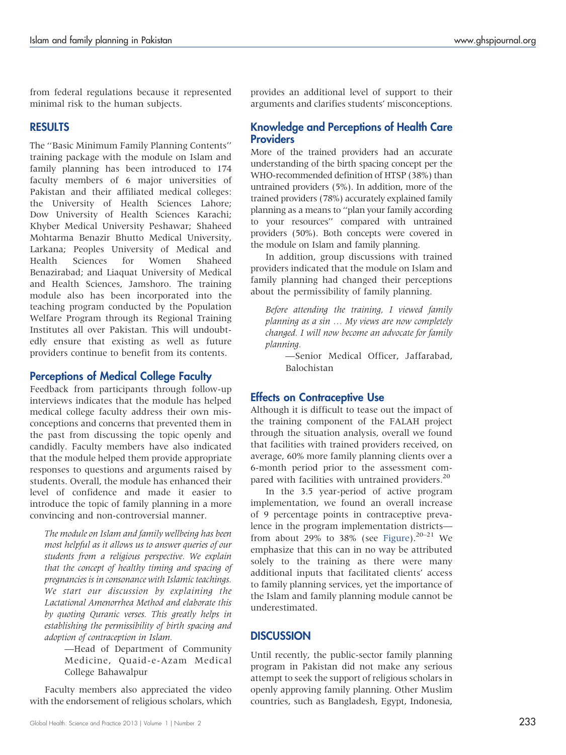from federal regulations because it represented minimal risk to the human subjects.

# RESULTS

The ''Basic Minimum Family Planning Contents'' training package with the module on Islam and family planning has been introduced to 174 faculty members of 6 major universities of Pakistan and their affiliated medical colleges: the University of Health Sciences Lahore; Dow University of Health Sciences Karachi; Khyber Medical University Peshawar; Shaheed Mohtarma Benazir Bhutto Medical University, Larkana; Peoples University of Medical and Health Sciences for Women Shaheed Benazirabad; and Liaquat University of Medical and Health Sciences, Jamshoro. The training module also has been incorporated into the teaching program conducted by the Population Welfare Program through its Regional Training Institutes all over Pakistan. This will undoubtedly ensure that existing as well as future providers continue to benefit from its contents.

# Perceptions of Medical College Faculty

Feedback from participants through follow-up interviews indicates that the module has helped medical college faculty address their own misconceptions and concerns that prevented them in the past from discussing the topic openly and candidly. Faculty members have also indicated that the module helped them provide appropriate responses to questions and arguments raised by students. Overall, the module has enhanced their level of confidence and made it easier to introduce the topic of family planning in a more convincing and non-controversial manner.

The module on Islam and family wellbeing has been most helpful as it allows us to answer queries of our students from a religious perspective. We explain that the concept of healthy timing and spacing of pregnancies is in consonance with Islamic teachings. We start our discussion by explaining the Lactational Amenorrhea Method and elaborate this by quoting Quranic verses. This greatly helps in establishing the permissibility of birth spacing and adoption of contraception in Islam.

> —Head of Department of Community Medicine, Quaid-e-Azam Medical College Bahawalpur

Faculty members also appreciated the video with the endorsement of religious scholars, which provides an additional level of support to their arguments and clarifies students' misconceptions.

# Knowledge and Perceptions of Health Care **Providers**

More of the trained providers had an accurate understanding of the birth spacing concept per the WHO-recommended definition of HTSP (38%) than untrained providers (5%). In addition, more of the trained providers (78%) accurately explained family planning as a means to ''plan your family according to your resources'' compared with untrained providers (50%). Both concepts were covered in the module on Islam and family planning.

In addition, group discussions with trained providers indicated that the module on Islam and family planning had changed their perceptions about the permissibility of family planning.

Before attending the training, I viewed family planning as a sin … My views are now completely changed. I will now become an advocate for family planning.

—Senior Medical Officer, Jaffarabad, Balochistan

# Effects on Contraceptive Use

Although it is difficult to tease out the impact of the training component of the FALAH project through the situation analysis, overall we found that facilities with trained providers received, on average, 60% more family planning clients over a 6-month period prior to the assessment compared with facilities with untrained providers.<sup>20</sup>

In the 3.5 year-period of active program implementation, we found an overall increase of 9 percentage points in contraceptive prevalence in the program implementation districts— from about 29% to 38% (see [Figure](#page-6-0)).<sup>20–21</sup> We emphasize that this can in no way be attributed solely to the training as there were many additional inputs that facilitated clients' access to family planning services, yet the importance of the Islam and family planning module cannot be underestimated.

# **DISCUSSION**

Until recently, the public-sector family planning program in Pakistan did not make any serious attempt to seek the support of religious scholars in openly approving family planning. Other Muslim countries, such as Bangladesh, Egypt, Indonesia,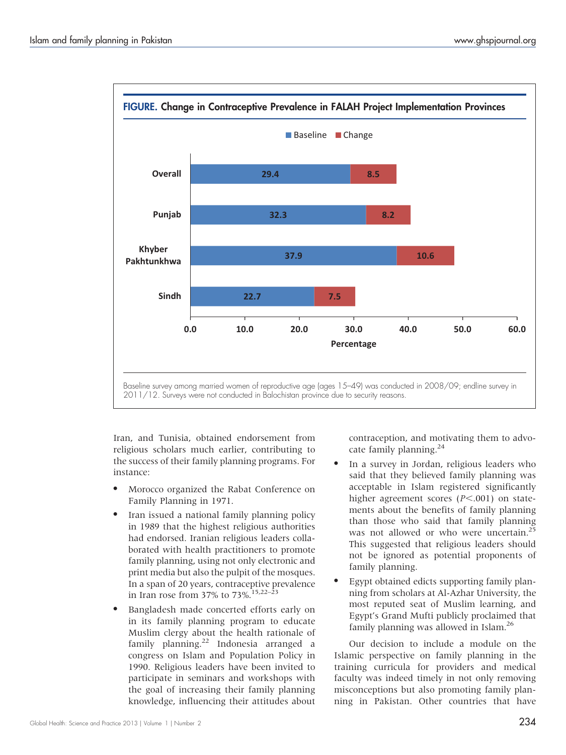<span id="page-6-0"></span>

Iran, and Tunisia, obtained endorsement from religious scholars much earlier, contributing to the success of their family planning programs. For instance:

- Morocco organized the Rabat Conference on Family Planning in 1971.
- Iran issued a national family planning policy in 1989 that the highest religious authorities had endorsed. Iranian religious leaders collaborated with health practitioners to promote family planning, using not only electronic and print media but also the pulpit of the mosques. In a span of 20 years, contraceptive prevalence in Iran rose from 37% to 73%.<sup>15,22–23</sup>
- Bangladesh made concerted efforts early on in its family planning program to educate Muslim clergy about the health rationale of family planning.22 Indonesia arranged a congress on Islam and Population Policy in 1990. Religious leaders have been invited to participate in seminars and workshops with the goal of increasing their family planning knowledge, influencing their attitudes about

contraception, and motivating them to advocate family planning.<sup>24</sup>

- In a survey in Jordan, religious leaders who said that they believed family planning was acceptable in Islam registered significantly higher agreement scores ( $P<.001$ ) on statements about the benefits of family planning than those who said that family planning was not allowed or who were uncertain.<sup>25</sup> This suggested that religious leaders should not be ignored as potential proponents of family planning.
- Egypt obtained edicts supporting family planning from scholars at Al-Azhar University, the most reputed seat of Muslim learning, and Egypt's Grand Mufti publicly proclaimed that family planning was allowed in Islam.26

Our decision to include a module on the Islamic perspective on family planning in the training curricula for providers and medical faculty was indeed timely in not only removing misconceptions but also promoting family planning in Pakistan. Other countries that have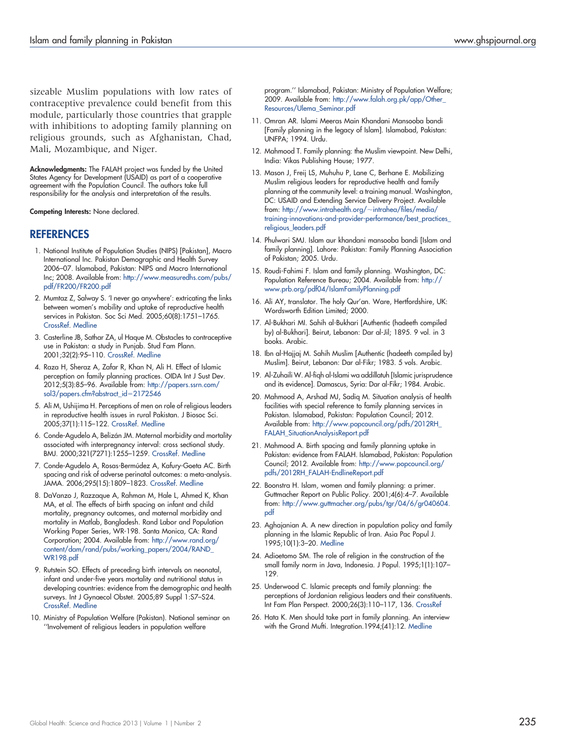sizeable Muslim populations with low rates of contraceptive prevalence could benefit from this module, particularly those countries that grapple with inhibitions to adopting family planning on religious grounds, such as Afghanistan, Chad, Mali, Mozambique, and Niger.

Acknowledgments: The FALAH project was funded by the United States Agency for Development (USAID) as part of a cooperative agreement with the Population Council. The authors take full responsibility for the analysis and interpretation of the results.

Competing Interests: None declared.

# **REFERENCES**

- 1. National Institute of Population Studies (NIPS) [Pakistan], Macro International Inc. Pakistan Demographic and Health Survey 2006–07. Islamabad, Pakistan: NIPS and Macro International Inc; 2008. Available from: [http://www.measuredhs.com/pubs/](http://www.measuredhs.com/pubs/pdf/FR200/FR200.pdf) [pdf/FR200/FR200.pdf](http://www.measuredhs.com/pubs/pdf/FR200/FR200.pdf)
- 2. Mumtaz Z, Salway S. 'I never go anywhere': extricating the links between women's mobility and uptake of reproductive health services in Pakistan. Soc Sci Med. 2005;60(8):1751–1765. [CrossRef](http://dx.doi.org/10.1016/j.socscimed.2004.08.019). [Medline](http://www.ncbi.nlm.nih.gov/pubmed/15686807)
- 3. Casterline JB, Sathar ZA, ul Haque M. Obstacles to contraceptive use in Pakistan: a study in Punjab. Stud Fam Plann. 2001;32(2):95–110. [CrossRef](http://dx.doi.org/10.1111/j.1728-4465.2001.00095.x). [Medline](http://www.ncbi.nlm.nih.gov/pubmed/11449867)
- 4. Raza H, Sheraz A, Zafar R, Khan N, Ali H. Effect of Islamic perception on family planning practices. OIDA Int J Sust Dev. 2012;5(3):85–96. Available from: [http://papers.ssrn.com/](http://papers.ssrn.com/sol3/papers.cfm?abstract_id=2172546) [sol3/papers.cfm?abstract\\_id](http://papers.ssrn.com/sol3/papers.cfm?abstract_id=2172546)=2172546
- 5. Ali M, Ushijima H. Perceptions of men on role of religious leaders in reproductive health issues in rural Pakistan. J Biosoc Sci. 2005;37(1):115–122. [CrossRef](http://dx.doi.org/10.1017/S0021932003006473). [Medline](http://www.ncbi.nlm.nih.gov/entrez/query.fcgi?cmd=Retrieve&db=PubMed&list_uids=15688575&dopt=Abstract)
- 6. Conde-Agudelo A, Belizán JM. Maternal morbidity and mortality associated with interpregnancy interval: cross sectional study. BMJ. 2000;321(7271):1255–1259. [CrossRef.](http://dx.doi.org/10.1136/bmj.321.7271.1255) [Medline](http://www.ncbi.nlm.nih.gov/entrez/query.fcgi?cmd=Retrieve&db=PubMed&list_uids=11082085&dopt=Abstract)
- 7. Conde-Agudelo A, Rosas-Bermúdez A, Kafury-Goeta AC. Birth spacing and risk of adverse perinatal outcomes: a meta-analysis. JAMA. 2006;295(15):1809–1823. [CrossRef.](http://dx.doi.org/10.1001/jama.295.15.1809) [Medline](http://www.ncbi.nlm.nih.gov/entrez/query.fcgi?cmd=Retrieve&db=PubMed&list_uids=16622143&dopt=Abstract)
- 8. DaVanzo J, Razzaque A, Rahman M, Hale L, Ahmed K, Khan MA, et al. The effects of birth spacing on infant and child mortality, pregnancy outcomes, and maternal morbidity and mortality in Matlab, Bangladesh. Rand Labor and Population Working Paper Series, WR-198. Santa Monica, CA: Rand Corporation; 2004. Available from: [http://www.rand.org/](http://www.rand.org/content/dam/rand/pubs/working_papers/2004/RAND_WR198.pdf) [content/dam/rand/pubs/working\\_papers/2004/RAND\\_](http://www.rand.org/content/dam/rand/pubs/working_papers/2004/RAND_WR198.pdf) [WR198.pdf](http://www.rand.org/content/dam/rand/pubs/working_papers/2004/RAND_WR198.pdf)
- 9. Rutstein SO. Effects of preceding birth intervals on neonatal, infant and under-five years mortality and nutritional status in developing countries: evidence from the demographic and health surveys. Int J Gynaecol Obstet. 2005;89 Suppl 1:S7–S24. [CrossRef](http://dx.doi.org/10.1016/j.ijgo.2004.11.012). [Medline](http://www.ncbi.nlm.nih.gov/pubmed/15820369)
- 10. Ministry of Population Welfare (Pakistan). National seminar on ''Involvement of religious leaders in population welfare

program.'' Islamabad, Pakistan: Ministry of Population Welfare; 2009. Available from: [http://www.falah.org.pk/app/Other\\_](http://www.falah.org.pk/app/Other_Resources/Ulema_Seminar.pdf) [Resources/Ulema\\_Seminar.pdf](http://www.falah.org.pk/app/Other_Resources/Ulema_Seminar.pdf)

- 11. Omran AR. Islami Meeras Main Khandani Mansooba bandi [Family planning in the legacy of Islam]. Islamabad, Pakistan: UNFPA; 1994. Urdu.
- 12. Mahmood T. Family planning: the Muslim viewpoint. New Delhi, India: Vikas Publishing House; 1977.
- 13. Mason J, Freij LS, Muhuhu P, Lane C, Berhane E. Mobilizing Muslim religious leaders for reproductive health and family planning at the community level: a training manual. Washington, DC: USAID and Extending Service Delivery Project. Available from: [http://www.intrahealth.org/](http://www.intrahealth.org/~intrahea/files/media/training-innovations-and-provider-performance/best_practices_religious_leaders.pdf)~intrahea/files/media/ [training-innovations-and-provider-performance/best\\_practices\\_](http://www.intrahealth.org/~intrahea/files/media/training-innovations-and-provider-performance/best_practices_religious_leaders.pdf) [religious\\_leaders.pdf](http://www.intrahealth.org/~intrahea/files/media/training-innovations-and-provider-performance/best_practices_religious_leaders.pdf)
- 14. Phulwari SMJ. Islam aur khandani mansooba bandi [Islam and family planning]. Lahore: Pakistan: Family Planning Association of Pakistan; 2005. Urdu.
- 15. Roudi-Fahimi F. Islam and family planning. Washington, DC: Population Reference Bureau; 2004. Available from: [http://](http://www.prb.org/pdf04/IslamFamilyPlanning.pdf) [www.prb.org/pdf04/IslamFamilyPlanning.pdf](http://www.prb.org/pdf04/IslamFamilyPlanning.pdf)
- 16. Ali AY, translator. The holy Qur'an. Ware, Hertfordshire, UK: Wordsworth Edition Limited; 2000.
- 17. Al-Bukhari MI. Sahih al-Bukhari [Authentic (hadeeth compiled by) al-Bukhari]. Beirut, Lebanon: Dar al-Jil; 1895. 9 vol. in 3 books. Arabic.
- 18. Ibn al-Hajjaj M. Sahih Muslim [Authentic (hadeeth compiled by) Muslim]. Beirut, Lebanon: Dar al-Fikr; 1983. 5 vols. Arabic.
- 19. Al-Zuhaili W. Al-fiqh al-Islami wa addillatuh [Islamic jurisprudence and its evidence]. Damascus, Syria: Dar al-Fikr; 1984. Arabic.
- 20. Mahmood A, Arshad MJ, Sadiq M. Situation analysis of health facilities with special reference to family planning services in Pakistan. Islamabad, Pakistan: Population Council; 2012. Available from: [http://www.popcouncil.org/pdfs/2012RH\\_](http://www.popcouncil.org/pdfs/2012RH_FALAH_SituationAnalysisReport.pdf) [FALAH\\_SituationAnalysisReport.pdf](http://www.popcouncil.org/pdfs/2012RH_FALAH_SituationAnalysisReport.pdf)
- 21. Mahmood A. Birth spacing and family planning uptake in Pakistan: evidence from FALAH. Islamabad, Pakistan: Population Council; 2012. Available from: [http://www.popcouncil.org/](http://www.popcouncil.org/pdfs/2012RH_FALAH-EndlineReport.pdf) [pdfs/2012RH\\_FALAH-EndlineReport.pdf](http://www.popcouncil.org/pdfs/2012RH_FALAH-EndlineReport.pdf)
- 22. Boonstra H. Islam, women and family planning: a primer. Guttmacher Report on Public Policy. 2001;4(6):4–7. Available from: [http://www.guttmacher.org/pubs/tgr/04/6/gr040604.](http://www.guttmacher.org/pubs/tgr/04/6/gr040604.pdf) [pdf](http://www.guttmacher.org/pubs/tgr/04/6/gr040604.pdf)
- 23. Aghajanian A. A new direction in population policy and family planning in the Islamic Republic of Iran. Asia Pac Popul J. 1995;10(1):3–20. [Medline](http://www.ncbi.nlm.nih.gov/entrez/query.fcgi?cmd=Retrieve&db=PubMed&list_uids=12319483&dopt=Abstract)
- 24. Adioetomo SM. The role of religion in the construction of the small family norm in Java, Indonesia. J Popul. 1995;1(1):107– 129.
- 25. Underwood C. Islamic precepts and family planning: the perceptions of Jordanian religious leaders and their constituents. Int Fam Plan Perspect. 2000;26(3):110–117, 136. [CrossRef](http://dx.doi.org/10.2307/2648299)
- 26. Hata K. Men should take part in family planning. An interview with the Grand Mufti. Integration.1994;(41):12. [Medline](http://www.ncbi.nlm.nih.gov/entrez/query.fcgi?cmd=Retrieve&db=PubMed&list_uids=12288252&dopt=Abstract)